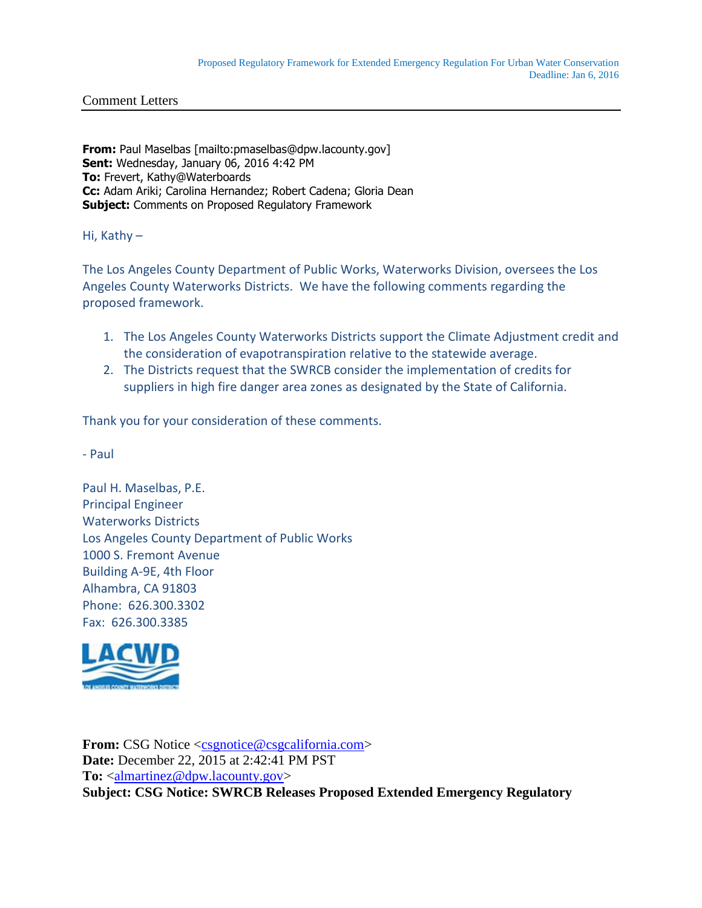**From:** Paul Maselbas [mailto:pmaselbas@dpw.lacounty.gov] **Sent:** Wednesday, January 06, 2016 4:42 PM **To:** Frevert, Kathy@Waterboards **Cc:** Adam Ariki; Carolina Hernandez; Robert Cadena; Gloria Dean **Subject:** Comments on Proposed Regulatory Framework

Hi, Kathy –

The Los Angeles County Department of Public Works, Waterworks Division, oversees the Los Angeles County Waterworks Districts. We have the following comments regarding the proposed framework.

- 1. The Los Angeles County Waterworks Districts support the Climate Adjustment credit and the consideration of evapotranspiration relative to the statewide average.
- 2. The Districts request that the SWRCB consider the implementation of credits for suppliers in high fire danger area zones as designated by the State of California.

Thank you for your consideration of these comments.

- Paul

Paul H. Maselbas, P.E. Principal Engineer Waterworks Districts Los Angeles County Department of Public Works 1000 S. Fremont Avenue Building A-9E, 4th Floor Alhambra, CA 91803 Phone: 626.300.3302 Fax: 626.300.3385



**From:** CSG Notice [<csgnotice@csgcalifornia.com>](mailto:csgnotice@csgcalifornia.com) **Date:** December 22, 2015 at 2:42:41 PM PST **To:** [<almartinez@dpw.lacounty.gov>](mailto:almartinez@dpw.lacounty.gov) **Subject: CSG Notice: SWRCB Releases Proposed Extended Emergency Regulatory**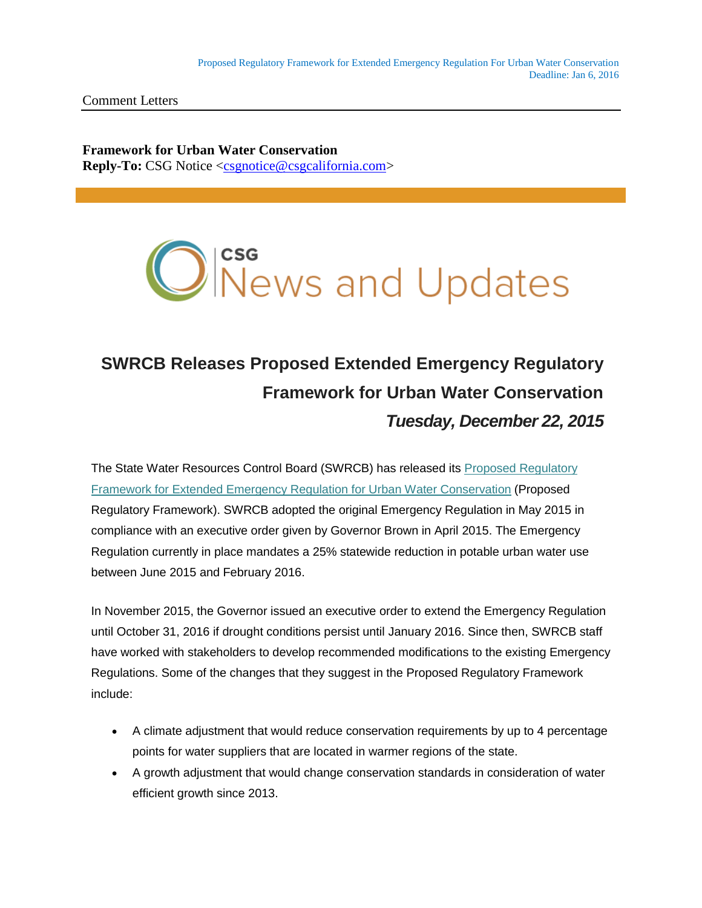**Framework for Urban Water Conservation Reply-To:** CSG Notice [<csgnotice@csgcalifornia.com>](mailto:csgnotice@csgcalifornia.com)



## **SWRCB Releases Proposed Extended Emergency Regulatory Framework for Urban Water Conservation** *Tuesday, December 22, 2015*

The State Water Resources Control Board (SWRCB) has released its [Proposed Regulatory](http://csgcalifornia.us10.list-manage.com/track/click?u=ad47178cf4151600c3a283584&id=d13d79f7a1&e=30e9f5a490)  [Framework for Extended Emergency Regulation for Urban Water Conservation](http://csgcalifornia.us10.list-manage.com/track/click?u=ad47178cf4151600c3a283584&id=d13d79f7a1&e=30e9f5a490) (Proposed Regulatory Framework). SWRCB adopted the original Emergency Regulation in May 2015 in compliance with an executive order given by Governor Brown in April 2015. The Emergency Regulation currently in place mandates a 25% statewide reduction in potable urban water use between June 2015 and February 2016.

In November 2015, the Governor issued an executive order to extend the Emergency Regulation until October 31, 2016 if drought conditions persist until January 2016. Since then, SWRCB staff have worked with stakeholders to develop recommended modifications to the existing Emergency Regulations. Some of the changes that they suggest in the Proposed Regulatory Framework include:

- A climate adjustment that would reduce conservation requirements by up to 4 percentage points for water suppliers that are located in warmer regions of the state.
- A growth adjustment that would change conservation standards in consideration of water efficient growth since 2013.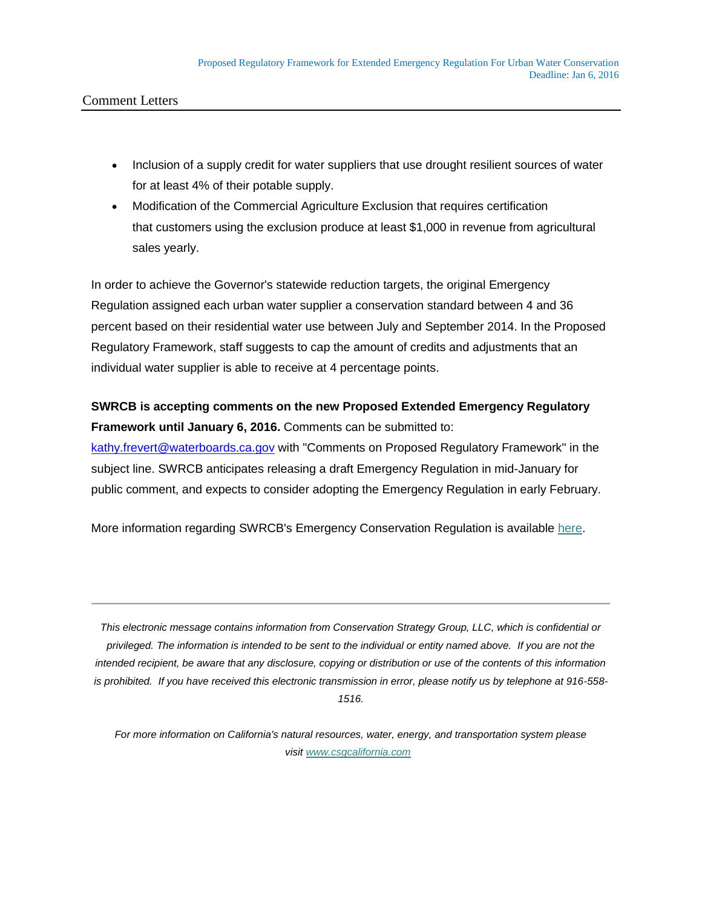- Inclusion of a supply credit for water suppliers that use drought resilient sources of water for at least 4% of their potable supply.
- Modification of the Commercial Agriculture Exclusion that requires certification that customers using the exclusion produce at least \$1,000 in revenue from agricultural sales yearly.

In order to achieve the Governor's statewide reduction targets, the original Emergency Regulation assigned each urban water supplier a conservation standard between 4 and 36 percent based on their residential water use between July and September 2014. In the Proposed Regulatory Framework, staff suggests to cap the amount of credits and adjustments that an individual water supplier is able to receive at 4 percentage points.

## **SWRCB is accepting comments on the new Proposed Extended Emergency Regulatory Framework until January 6, 2016.** Comments can be submitted to:

[kathy.frevert@waterboards.ca.gov](mailto:kathy.frevert@waterboards.ca.gov) with "Comments on Proposed Regulatory Framework" in the subject line. SWRCB anticipates releasing a draft Emergency Regulation in mid-January for public comment, and expects to consider adopting the Emergency Regulation in early February.

More information regarding SWRCB's Emergency Conservation Regulation is available [here.](http://csgcalifornia.us10.list-manage.com/track/click?u=ad47178cf4151600c3a283584&id=47936d8932&e=30e9f5a490)

*This electronic message contains information from Conservation Strategy Group, LLC, which is confidential or privileged. The information is intended to be sent to the individual or entity named above. If you are not the intended recipient, be aware that any disclosure, copying or distribution or use of the contents of this information is prohibited. If you have received this electronic transmission in error, please notify us by telephone at 916-558- 1516.*

*For more information on California's natural resources, water, energy, and transportation system please visit [www.csgcalifornia.com](http://csgcalifornia.us10.list-manage.com/track/click?u=ad47178cf4151600c3a283584&id=975e4c9851&e=30e9f5a490)*